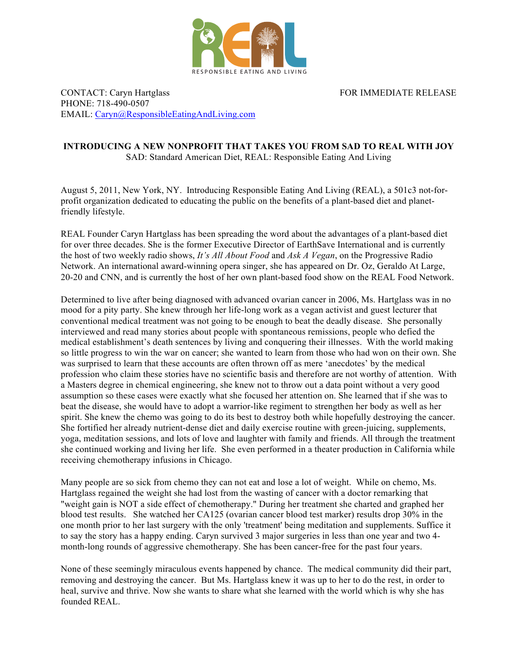

FOR IMMEDIATE RELEASE

CONTACT: Caryn Hartglass PHONE: 718-490-0507 EMAIL: Caryn@ResponsibleEatingAndLiving.com

## **INTRODUCING A NEW NONPROFIT THAT TAKES YOU FROM SAD TO REAL WITH JOY** SAD: Standard American Diet, REAL: Responsible Eating And Living

August 5, 2011, New York, NY. Introducing Responsible Eating And Living (REAL), a 501c3 not-forprofit organization dedicated to educating the public on the benefits of a plant-based diet and planetfriendly lifestyle.

REAL Founder Caryn Hartglass has been spreading the word about the advantages of a plant-based diet for over three decades. She is the former Executive Director of EarthSave International and is currently the host of two weekly radio shows, *It's All About Food* and *Ask A Vegan*, on the Progressive Radio Network. An international award-winning opera singer, she has appeared on Dr. Oz, Geraldo At Large, 20-20 and CNN, and is currently the host of her own plant-based food show on the REAL Food Network.

Determined to live after being diagnosed with advanced ovarian cancer in 2006, Ms. Hartglass was in no mood for a pity party. She knew through her life-long work as a vegan activist and guest lecturer that conventional medical treatment was not going to be enough to beat the deadly disease. She personally interviewed and read many stories about people with spontaneous remissions, people who defied the medical establishment's death sentences by living and conquering their illnesses. With the world making so little progress to win the war on cancer; she wanted to learn from those who had won on their own. She was surprised to learn that these accounts are often thrown off as mere 'anecdotes' by the medical profession who claim these stories have no scientific basis and therefore are not worthy of attention. With a Masters degree in chemical engineering, she knew not to throw out a data point without a very good assumption so these cases were exactly what she focused her attention on. She learned that if she was to beat the disease, she would have to adopt a warrior-like regiment to strengthen her body as well as her spirit. She knew the chemo was going to do its best to destroy both while hopefully destroying the cancer. She fortified her already nutrient-dense diet and daily exercise routine with green-juicing, supplements, yoga, meditation sessions, and lots of love and laughter with family and friends. All through the treatment she continued working and living her life. She even performed in a theater production in California while receiving chemotherapy infusions in Chicago.

Many people are so sick from chemo they can not eat and lose a lot of weight. While on chemo, Ms. Hartglass regained the weight she had lost from the wasting of cancer with a doctor remarking that "weight gain is NOT a side effect of chemotherapy." During her treatment she charted and graphed her blood test results. She watched her CA125 (ovarian cancer blood test marker) results drop 30% in the one month prior to her last surgery with the only 'treatment' being meditation and supplements. Suffice it to say the story has a happy ending. Caryn survived 3 major surgeries in less than one year and two 4 month-long rounds of aggressive chemotherapy. She has been cancer-free for the past four years.

None of these seemingly miraculous events happened by chance. The medical community did their part, removing and destroying the cancer. But Ms. Hartglass knew it was up to her to do the rest, in order to heal, survive and thrive. Now she wants to share what she learned with the world which is why she has founded REAL.